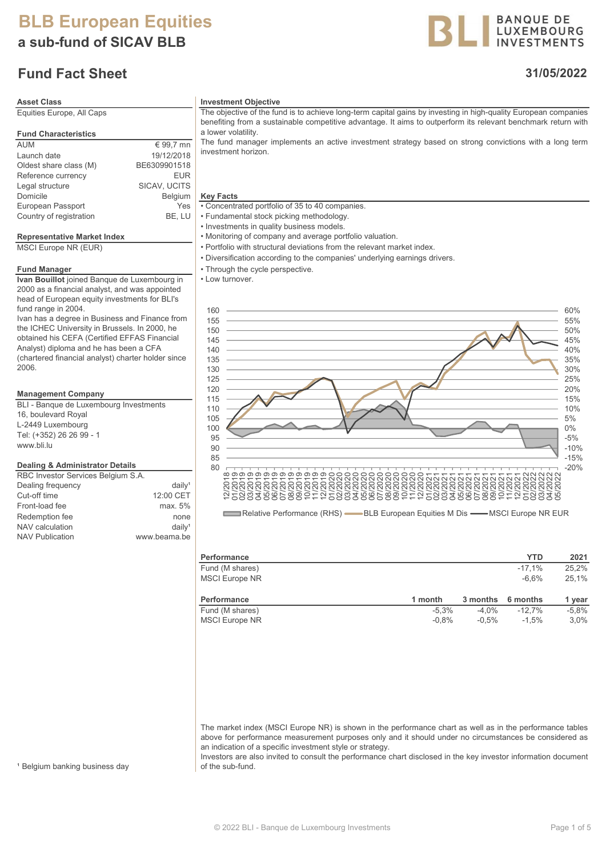a sub-fund of SICAV BLB

## Fund Fact Sheet

# Equities Europe, All Caps

| <b>Fund Characteristics</b> |              |
|-----------------------------|--------------|
| <b>AUM</b>                  | € 99,7 mn    |
| Launch date                 | 19/12/2018   |
| Oldest share class (M)      | BE6309901518 |
| Reference currency          | <b>EUR</b>   |
| Legal structure             | SICAV, UCITS |
| Domicile                    | Belgium      |
| European Passport           | Yes          |
| Country of registration     | BE. LU       |

#### Representative Market Index

MSCI Europe NR (EUR)

#### Fund Manager

Ivan Bouillot joined Banque de Luxembourg in 2000 as a financial analyst, and was appointed head of European equity investments for BLI's fund range in 2004.

Ivan has a degree in Business and Finance from the ICHEC University in Brussels. In 2000, he obtained his CEFA (Certified EFFAS Financial Analyst) diploma and he has been a CFA (chartered financial analyst) charter holder since 2006.

#### Management Company

BLI - Banque de Luxembourg Investments 16, boulevard Royal L-2449 Luxembourg Tel: (+352) 26 26 99 - 1 www.bli.lu

#### Dealing & Administrator Details

| RBC Investor Services Belgium S.A. |                       |
|------------------------------------|-----------------------|
| Dealing frequency                  | $d$ aily <sup>1</sup> |
| Cut-off time                       | 12:00 CET             |
| Front-load fee                     | max. 5%               |
| Redemption fee                     | none                  |
| NAV calculation                    | $d$ aily <sup>1</sup> |
| <b>NAV Publication</b>             | www.beama.be          |
|                                    |                       |

#### Asset Class **Investment Objective**

The objective of the fund is to achieve long-term capital gains by investing in high-quality European companies benefiting from a sustainable competitive advantage. It aims to outperform its relevant benchmark return with a lower volatility.

The fund manager implements an active investment strategy based on strong convictions with a long term investment horizon.

#### **Key Facts**

• Concentrated portfolio of 35 to 40 companies.

- Fundamental stock picking methodology.
- Investments in quality business models.
- Monitoring of company and average portfolio valuation.
- Portfolio with structural deviations from the relevant market index.
- Diversification according to the companies' underlying earnings drivers.
- Through the cycle perspective.
- Low turnover.



Relative Performance (RHS) - BLB European Equities M Dis - MSCI Europe NR EUR

| <b>Performance</b>    |         |          | <b>YTD</b> | 2021    |
|-----------------------|---------|----------|------------|---------|
| Fund (M shares)       |         |          | $-17.1%$   | 25.2%   |
| <b>MSCI Europe NR</b> |         |          | $-6.6%$    | 25.1%   |
|                       |         |          |            |         |
| <b>Performance</b>    | 1 month | 3 months | 6 months   | 1 year  |
| Fund (M shares)       | $-5.3%$ | $-4.0\%$ | $-12.7%$   | $-5.8%$ |
| <b>MSCI Europe NR</b> | $-0.8%$ | $-0.5%$  | $-1.5%$    | $3.0\%$ |

The market index (MSCI Europe NR) is shown in the performance chart as well as in the performance tables above for performance measurement purposes only and it should under no circumstances be considered as an indication of a specific investment style or strategy.

Investors are also invited to consult the performance chart disclosed in the key investor information document of the sub-fund.

<sup>1</sup> Belgium banking business day

### 31/05/2022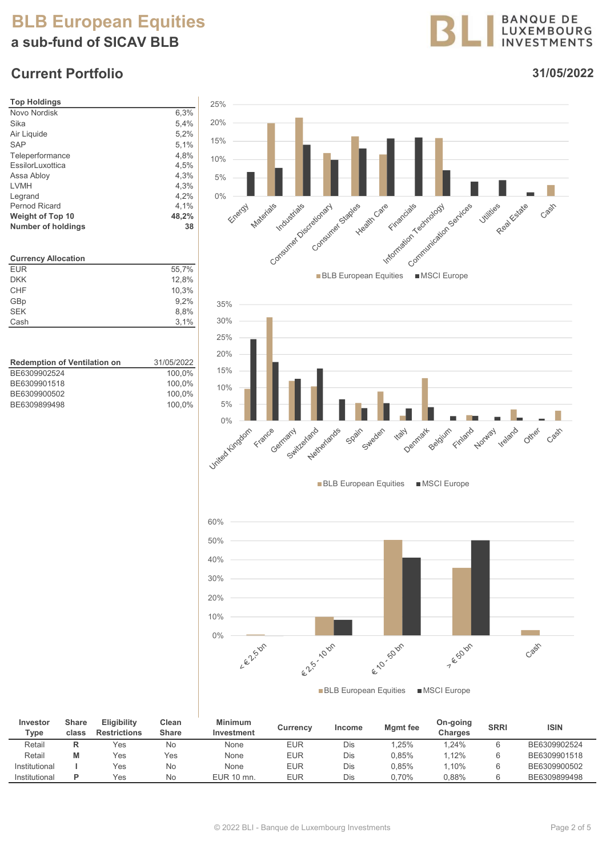# BLB European Equities a sub-fund of SICAV BLB

# Current Portfolio



31/05/2022

Casin

Cash

Cash



| Investor<br>Type | Share<br>class | <b>Eligibility</b><br><b>Restrictions</b> | Clean<br><b>Share</b> | <b>Minimum</b><br>Investment | <b>Currency</b> | Income | Mgmt fee | On-going<br>Charges | <b>SRRI</b> | <b>ISIN</b>  |
|------------------|----------------|-------------------------------------------|-----------------------|------------------------------|-----------------|--------|----------|---------------------|-------------|--------------|
| Retail           | D              | Yes                                       | No                    | None                         | EUR             | Dis    | .25%     | 1.24%               |             | BE6309902524 |
| Retail           | М              | Yes                                       | Yes                   | None                         | EUR             | Dis    | 0.85%    | 1.12%               |             | BE6309901518 |
| Institutional    |                | Yes                                       | No                    | None                         | EUR             | Dis    | 0.85%    | $1.10\%$            |             | BE6309900502 |
| Institutional    | D              | Yes                                       | No                    | EUR 10 mn.                   | <b>EUR</b>      | Dis    | 0.70%    | 0.88%               |             | BE6309899498 |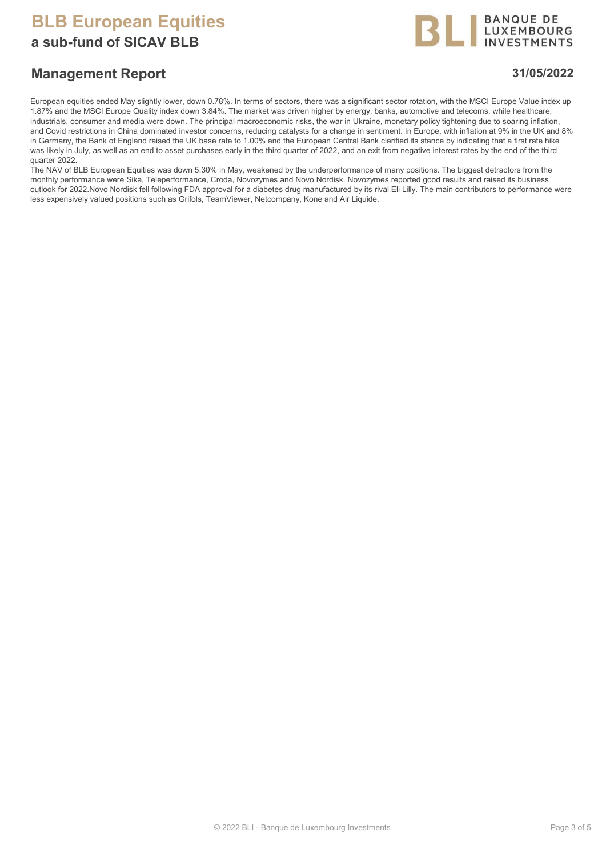a sub-fund of SICAV BLB



### Management Report 31/05/2022

European equities ended May slightly lower, down 0.78%. In terms of sectors, there was a significant sector rotation, with the MSCI Europe Value index up 1.87% and the MSCI Europe Quality index down 3.84%. The market was driven higher by energy, banks, automotive and telecoms, while healthcare, industrials, consumer and media were down. The principal macroeconomic risks, the war in Ukraine, monetary policy tightening due to soaring inflation, and Covid restrictions in China dominated investor concerns, reducing catalysts for a change in sentiment. In Europe, with inflation at 9% in the UK and 8% in Germany, the Bank of England raised the UK base rate to 1.00% and the European Central Bank clarified its stance by indicating that a first rate hike was likely in July, as well as an end to asset purchases early in the third quarter of 2022, and an exit from negative interest rates by the end of the third quarter 2022.

The NAV of BLB European Equities was down 5.30% in May, weakened by the underperformance of many positions. The biggest detractors from the monthly performance were Sika, Teleperformance, Croda, Novozymes and Novo Nordisk. Novozymes reported good results and raised its business outlook for 2022.Novo Nordisk fell following FDA approval for a diabetes drug manufactured by its rival Eli Lilly. The main contributors to performance were less expensively valued positions such as Grifols, TeamViewer, Netcompany, Kone and Air Liquide.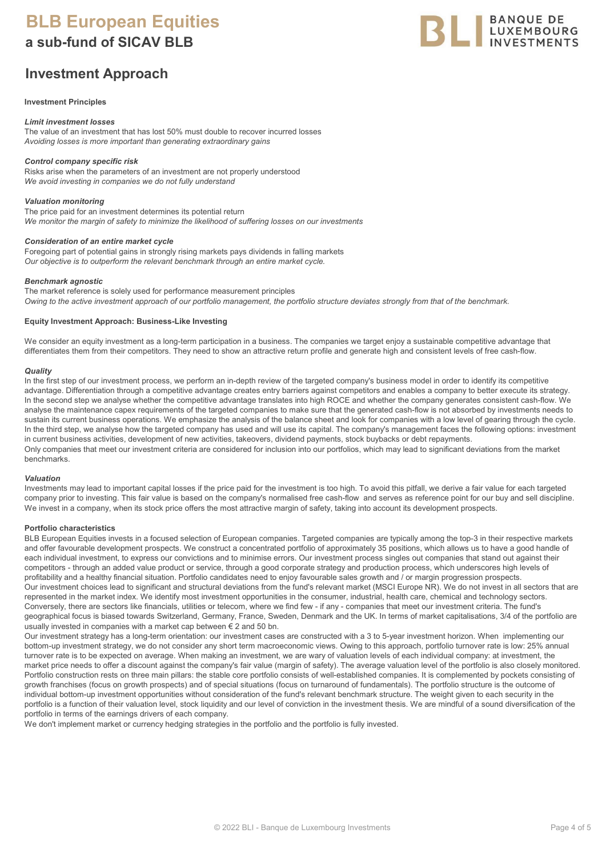a sub-fund of SICAV BLB

### Investment Approach



#### Investment Principles

#### Limit investment losses

The value of an investment that has lost 50% must double to recover incurred losses Avoiding losses is more important than generating extraordinary gains

#### Control company specific risk

Risks arise when the parameters of an investment are not properly understood We avoid investing in companies we do not fully understand

#### Valuation monitoring

The price paid for an investment determines its potential return We monitor the margin of safety to minimize the likelihood of suffering losses on our investments

#### Consideration of an entire market cycle

Foregoing part of potential gains in strongly rising markets pays dividends in falling markets Our objective is to outperform the relevant benchmark through an entire market cycle.

#### Benchmark agnostic

The market reference is solely used for performance measurement principles Owing to the active investment approach of our portfolio management, the portfolio structure deviates strongly from that of the benchmark.

#### Equity Investment Approach: Business-Like Investing

We consider an equity investment as a long-term participation in a business. The companies we target enjoy a sustainable competitive advantage that differentiates them from their competitors. They need to show an attractive return profile and generate high and consistent levels of free cash-flow.

#### **Quality**

In the first step of our investment process, we perform an in-depth review of the targeted company's business model in order to identify its competitive advantage. Differentiation through a competitive advantage creates entry barriers against competitors and enables a company to better execute its strategy. In the second step we analyse whether the competitive advantage translates into high ROCE and whether the company generates consistent cash-flow. We analyse the maintenance capex requirements of the targeted companies to make sure that the generated cash-flow is not absorbed by investments needs to sustain its current business operations. We emphasize the analysis of the balance sheet and look for companies with a low level of gearing through the cycle. In the third step, we analyse how the targeted company has used and will use its capital. The company's management faces the following options: investment in current business activities, development of new activities, takeovers, dividend payments, stock buybacks or debt repayments. Only companies that meet our investment criteria are considered for inclusion into our portfolios, which may lead to significant deviations from the market benchmarks.

#### Valuation

Investments may lead to important capital losses if the price paid for the investment is too high. To avoid this pitfall, we derive a fair value for each targeted company prior to investing. This fair value is based on the company's normalised free cash-flow and serves as reference point for our buy and sell discipline. We invest in a company, when its stock price offers the most attractive margin of safety, taking into account its development prospects.

#### Portfolio characteristics

BLB European Equities invests in a focused selection of European companies. Targeted companies are typically among the top-3 in their respective markets and offer favourable development prospects. We construct a concentrated portfolio of approximately 35 positions, which allows us to have a good handle of each individual investment, to express our convictions and to minimise errors. Our investment process singles out companies that stand out against their competitors - through an added value product or service, through a good corporate strategy and production process, which underscores high levels of profitability and a healthy financial situation. Portfolio candidates need to enjoy favourable sales growth and / or margin progression prospects. Our investment choices lead to significant and structural deviations from the fund's relevant market (MSCI Europe NR). We do not invest in all sectors that are represented in the market index. We identify most investment opportunities in the consumer, industrial, health care, chemical and technology sectors. Conversely, there are sectors like financials, utilities or telecom, where we find few - if any - companies that meet our investment criteria. The fund's geographical focus is biased towards Switzerland, Germany, France, Sweden, Denmark and the UK. In terms of market capitalisations, 3/4 of the portfolio are usually invested in companies with a market cap between  $\epsilon$  2 and 50 bn.

Our investment strategy has a long-term orientation: our investment cases are constructed with a 3 to 5-year investment horizon. When implementing our bottom-up investment strategy, we do not consider any short term macroeconomic views. Owing to this approach, portfolio turnover rate is low: 25% annual turnover rate is to be expected on average. When making an investment, we are wary of valuation levels of each individual company: at investment, the market price needs to offer a discount against the company's fair value (margin of safety). The average valuation level of the portfolio is also closely monitored. Portfolio construction rests on three main pillars: the stable core portfolio consists of well-established companies. It is complemented by pockets consisting of growth franchises (focus on growth prospects) and of special situations (focus on turnaround of fundamentals). The portfolio structure is the outcome of individual bottom-up investment opportunities without consideration of the fund's relevant benchmark structure. The weight given to each security in the portfolio is a function of their valuation level, stock liquidity and our level of conviction in the investment thesis. We are mindful of a sound diversification of the portfolio in terms of the earnings drivers of each company.

We don't implement market or currency hedging strategies in the portfolio and the portfolio is fully invested.